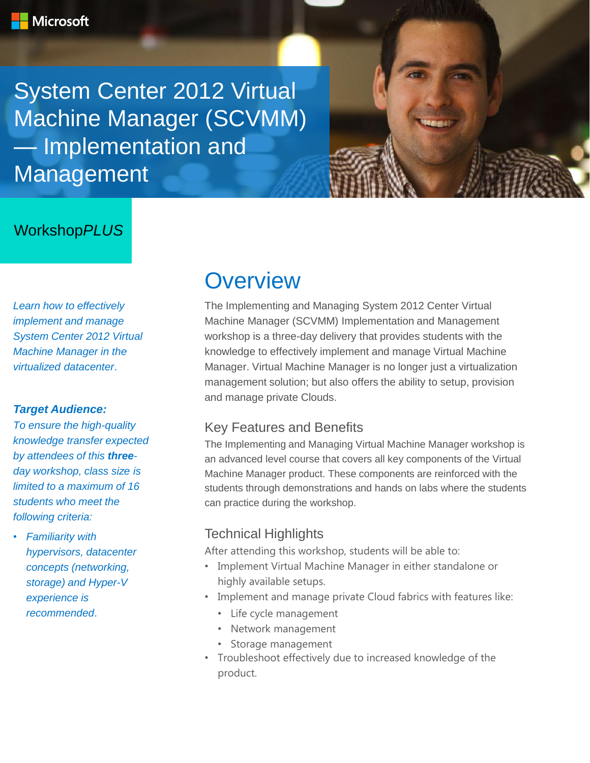System Center 2012 Virtual Machine Manager (SCVMM) — Implementation and Management

## Workshop*PLUS*

*Learn how to effectively implement and manage System Center 2012 Virtual Machine Manager in the virtualized datacenter*.

#### *Target Audience:*

*To ensure the high-quality knowledge transfer expected by attendees of this threeday workshop, class size is limited to a maximum of 16 students who meet the following criteria:*

• *Familiarity with hypervisors, datacenter concepts (networking, storage) and Hyper-V experience is recommended*.

## **Overview**

The Implementing and Managing System 2012 Center Virtual Machine Manager (SCVMM) Implementation and Management workshop is a three-day delivery that provides students with the knowledge to effectively implement and manage Virtual Machine Manager. Virtual Machine Manager is no longer just a virtualization management solution; but also offers the ability to setup, provision and manage private Clouds.

### Key Features and Benefits

The Implementing and Managing Virtual Machine Manager workshop is an advanced level course that covers all key components of the Virtual Machine Manager product. These components are reinforced with the students through demonstrations and hands on labs where the students can practice during the workshop.

### Technical Highlights

After attending this workshop, students will be able to:

- Implement Virtual Machine Manager in either standalone or highly available setups.
- Implement and manage private Cloud fabrics with features like:
	- Life cycle management
	- Network management
	- Storage management
- Troubleshoot effectively due to increased knowledge of the product.